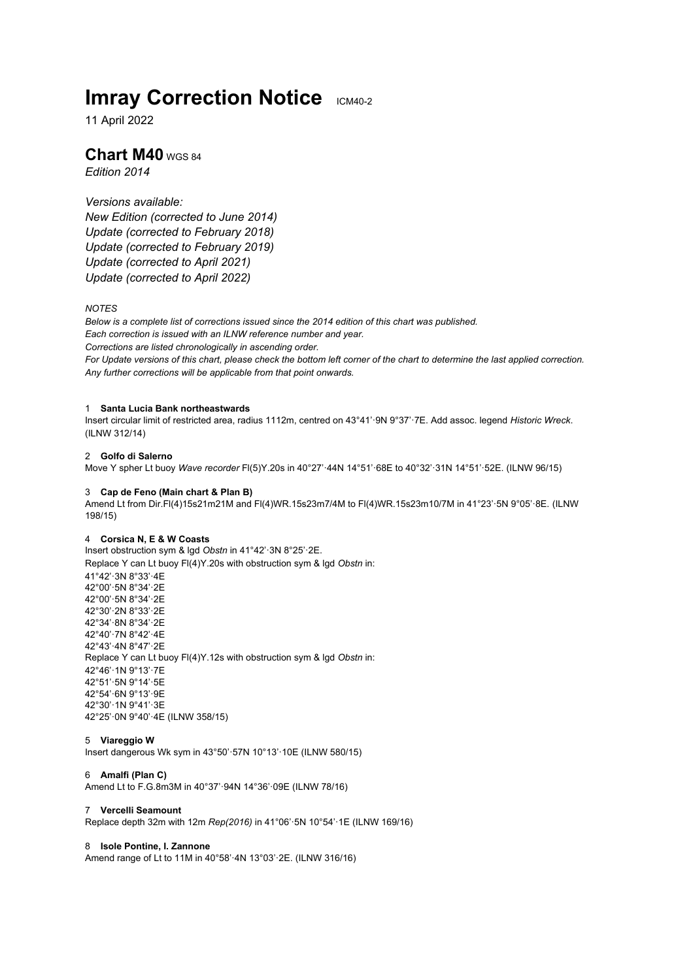# **Imray Correction Notice ICM40-2**

11 April 2022

# **Chart M40** WGS 84

*Edition 2014*

# *Versions available:*

*New Edition (corrected to June 2014) Update (corrected to February 2018) Update (corrected to February 2019) Update (corrected to April 2021) Update (corrected to April 2022)*

# *NOTES*

*Below is a complete list of corrections issued since the 2014 edition of this chart was published. Each correction is issued with an ILNW reference number and year. Corrections are listed chronologically in ascending order. For Update versions of this chart, please check the bottom left corner of the chart to determine the last applied correction. Any further corrections will be applicable from that point onwards.*

# 1 **Santa Lucia Bank northeastwards**

Insert circular limit of restricted area, radius 1112m, centred on 43°41'·9N 9°37'·7E. Add assoc. legend *Historic Wreck*. (ILNW 312/14)

# 2 **Golfo di Salerno**

Move Y spher Lt buoy *Wave recorder* Fl(5)Y.20s in 40°27'·44N 14°51'·68E to 40°32'·31N 14°51'·52E. (ILNW 96/15)

## 3 **Cap de Feno (Main chart & Plan B)**

Amend Lt from Dir.Fl(4)15s21m21M and Fl(4)WR.15s23m7/4M to Fl(4)WR.15s23m10/7M in 41°23'·5N 9°05'·8E. (ILNW 198/15)

# 4 **Corsica N, E & W Coasts**

Insert obstruction sym & lgd *Obstn* in 41°42'·3N 8°25'·2E. Replace Y can Lt buoy Fl(4)Y.20s with obstruction sym & lgd *Obstn* in: 41°42'·3N 8°33'·4E 42°00'·5N 8°34'·2E 42°00'·5N 8°34'·2E 42°30'·2N 8°33'·2E 42°34'·8N 8°34'·2E 42°40'·7N 8°42'·4E 42°43'·4N 8°47'·2E Replace Y can Lt buoy Fl(4)Y.12s with obstruction sym & lgd *Obstn* in: 42°46'·1N 9°13'·7E 42°51'·5N 9°14'·5E 42°54'·6N 9°13'·9E 42°30'·1N 9°41'·3E 42°25'·0N 9°40'·4E (ILNW 358/15)

#### 5 **Viareggio W**

Insert dangerous Wk sym in 43°50'·57N 10°13'·10E (ILNW 580/15)

# 6 **Amalfi (Plan C)**

Amend Lt to F.G.8m3M in 40°37'·94N 14°36'·09E (ILNW 78/16)

## 7 **Vercelli Seamount**

Replace depth 32m with 12m *Rep(2016)* in 41°06'·5N 10°54'·1E (ILNW 169/16)

# 8 **Isole Pontine, I. Zannone**

Amend range of Lt to 11M in 40°58'·4N 13°03'·2E. (ILNW 316/16)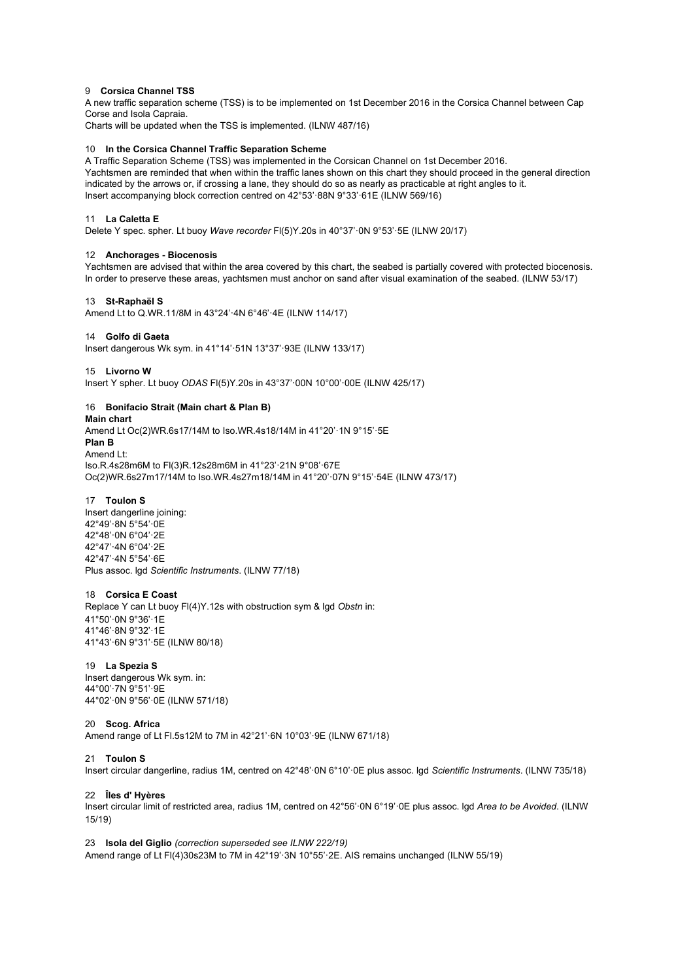## 9 **Corsica Channel TSS**

A new traffic separation scheme (TSS) is to be implemented on 1st December 2016 in the Corsica Channel between Cap Corse and Isola Capraia.

Charts will be updated when the TSS is implemented. (ILNW 487/16)

#### 10 **In the Corsica Channel Traffic Separation Scheme**

A Traffic Separation Scheme (TSS) was implemented in the Corsican Channel on 1st December 2016. Yachtsmen are reminded that when within the traffic lanes shown on this chart they should proceed in the general direction indicated by the arrows or, if crossing a lane, they should do so as nearly as practicable at right angles to it. Insert accompanying block correction centred on 42°53'·88N 9°33'·61E (ILNW 569/16)

# 11 **La Caletta E**

Delete Y spec. spher. Lt buoy *Wave recorder* Fl(5)Y.20s in 40°37'·0N 9°53'·5E (ILNW 20/17)

#### 12 **Anchorages - Biocenosis**

Yachtsmen are advised that within the area covered by this chart, the seabed is partially covered with protected biocenosis. In order to preserve these areas, yachtsmen must anchor on sand after visual examination of the seabed. (ILNW 53/17)

#### 13 **St-Raphaël S**

Amend Lt to Q.WR.11/8M in 43°24'·4N 6°46'·4E (ILNW 114/17)

# 14 **Golfo di Gaeta**

Insert dangerous Wk sym. in 41°14'·51N 13°37'·93E (ILNW 133/17)

#### 15 **Livorno W**

Insert Y spher. Lt buoy *ODAS* Fl(5)Y.20s in 43°37'·00N 10°00'·00E (ILNW 425/17)

# 16 **Bonifacio Strait (Main chart & Plan B)**

**Main chart** Amend Lt Oc(2)WR.6s17/14M to Iso.WR.4s18/14M in 41°20'·1N 9°15'·5E **Plan B** Amend Lt: Iso.R.4s28m6M to Fl(3)R.12s28m6M in 41°23'·21N 9°08'·67E Oc(2)WR.6s27m17/14M to Iso.WR.4s27m18/14M in 41°20'·07N 9°15'·54E (ILNW 473/17)

# 17 **Toulon S**

Insert dangerline joining: 42°49'·8N 5°54'·0E 42°48'·0N 6°04'·2E 42°47'·4N 6°04'·2E 42°47'·4N 5°54'·6E Plus assoc. lgd *Scientific Instruments*. (ILNW 77/18)

#### 18 **Corsica E Coast**

Replace Y can Lt buoy Fl(4)Y.12s with obstruction sym & lgd *Obstn* in: 41°50'·0N 9°36'·1E 41°46'·8N 9°32'·1E 41°43'·6N 9°31'·5E (ILNW 80/18)

#### 19 **La Spezia S**

Insert dangerous Wk sym. in: 44°00'·7N 9°51'·9E 44°02'·0N 9°56'·0E (ILNW 571/18)

#### 20 **Scog. Africa**

Amend range of Lt Fl.5s12M to 7M in 42°21'·6N 10°03'·9E (ILNW 671/18)

#### 21 **Toulon S**

Insert circular dangerline, radius 1M, centred on 42°48'·0N 6°10'·0E plus assoc. lgd *Scientific Instruments*. (ILNW 735/18)

# 22 **Îles d' Hyères**

Insert circular limit of restricted area, radius 1M, centred on 42°56'·0N 6°19'·0E plus assoc. lgd *Area to be Avoided*. (ILNW 15/19)

23 **Isola del Giglio** *(correction superseded see ILNW 222/19)* Amend range of Lt Fl(4)30s23M to 7M in 42°19'·3N 10°55'·2E. AIS remains unchanged (ILNW 55/19)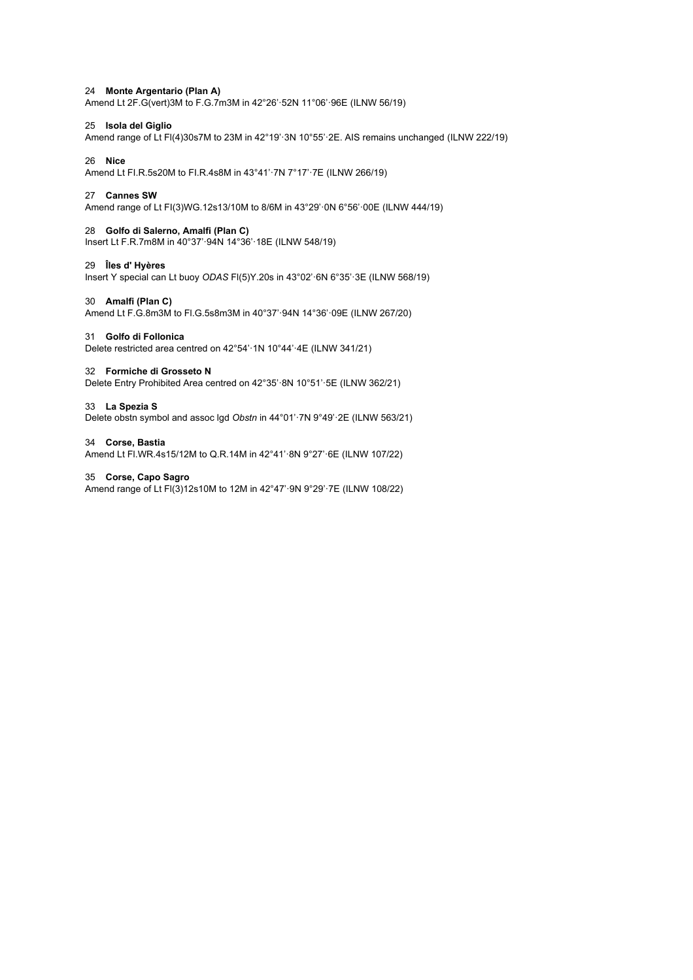## 24 **Monte Argentario (Plan A)**

Amend Lt 2F.G(vert)3M to F.G.7m3M in 42°26'·52N 11°06'·96E (ILNW 56/19)

# 25 **Isola del Giglio**

Amend range of Lt Fl(4)30s7M to 23M in 42°19'·3N 10°55'·2E. AIS remains unchanged (ILNW 222/19)

# 26 **Nice**

Amend Lt FI.R.5s20M to FI.R.4s8M in 43°41'·7N 7°17'·7E (ILNW 266/19)

# 27 **Cannes SW**

Amend range of Lt FI(3)WG.12s13/10M to 8/6M in 43°29'·0N 6°56'·00E (ILNW 444/19)

# 28 **Golfo di Salerno, Amalfi (Plan C)**

Insert Lt F.R.7m8M in 40°37'·94N 14°36'·18E (ILNW 548/19)

#### 29 **Îles d' Hyères**

Insert Y special can Lt buoy *ODAS* Fl(5)Y.20s in 43°02'·6N 6°35'·3E (ILNW 568/19)

# 30 **Amalfi (Plan C)**

Amend Lt F.G.8m3M to Fl.G.5s8m3M in 40°37'·94N 14°36'·09E (ILNW 267/20)

#### 31 **Golfo di Follonica**

Delete restricted area centred on 42°54'·1N 10°44'·4E (ILNW 341/21)

#### 32 **Formiche di Grosseto N**

Delete Entry Prohibited Area centred on 42°35'·8N 10°51'·5E (ILNW 362/21)

#### 33 **La Spezia S**

Delete obstn symbol and assoc lgd *Obstn* in 44°01'·7N 9°49'·2E (ILNW 563/21)

#### 34 **Corse, Bastia**

Amend Lt Fl.WR.4s15/12M to Q.R.14M in 42°41'·8N 9°27'·6E (ILNW 107/22)

# 35 **Corse, Capo Sagro**

Amend range of Lt Fl(3)12s10M to 12M in 42°47'·9N 9°29'·7E (ILNW 108/22)